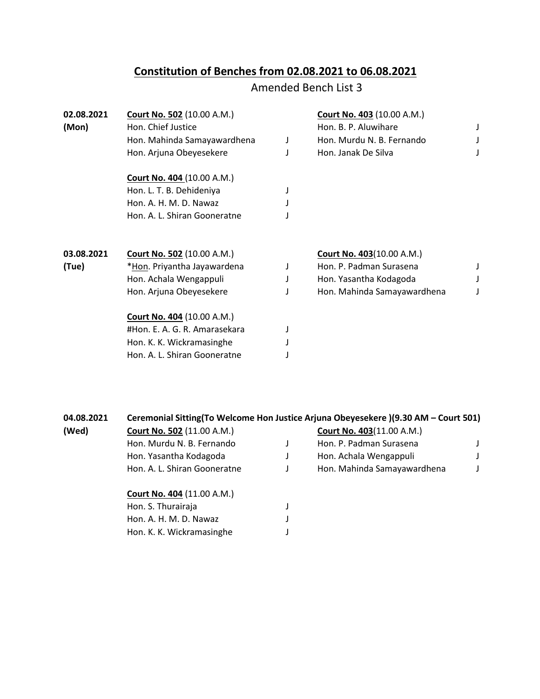## **Constitution of Benches from 02.08.2021 to 06.08.2021**

## Amended Bench List 3

| 02.08.2021 | <b>Court No. 502 (10.00 A.M.)</b> |   | <b>Court No. 403 (10.00 A.M.)</b> |  |
|------------|-----------------------------------|---|-----------------------------------|--|
| (Mon)      | Hon. Chief Justice                |   | Hon. B. P. Aluwihare              |  |
|            | Hon. Mahinda Samayawardhena       | J | Hon. Murdu N. B. Fernando         |  |
|            | Hon. Arjuna Obeyesekere           |   | Hon. Janak De Silva               |  |
|            | <b>Court No. 404 (10.00 A.M.)</b> |   |                                   |  |
|            | Hon. L. T. B. Dehideniya          |   |                                   |  |
|            | Hon. A. H. M. D. Nawaz            |   |                                   |  |
|            | Hon. A. L. Shiran Gooneratne      |   |                                   |  |
| 03.08.2021 | <b>Court No. 502 (10.00 A.M.)</b> |   | <b>Court No. 403(10.00 A.M.)</b>  |  |
| (Tue)      | *Hon. Priyantha Jayawardena       |   | Hon. P. Padman Surasena           |  |
|            | Hon. Achala Wengappuli            |   | Hon. Yasantha Kodagoda            |  |
|            | Hon. Arjuna Obeyesekere           |   | Hon. Mahinda Samayawardhena       |  |
|            | <b>Court No. 404 (10.00 A.M.)</b> |   |                                   |  |
|            | #Hon. E. A. G. R. Amarasekara     |   |                                   |  |
|            | Hon. K. K. Wickramasinghe         |   |                                   |  |
|            | Hon. A. L. Shiran Gooneratne      |   |                                   |  |
|            |                                   |   |                                   |  |

| 04.08.2021 | Ceremonial Sitting(To Welcome Hon Justice Arjuna Obeyesekere)(9.30 AM - Court 501) |  |                                  |  |
|------------|------------------------------------------------------------------------------------|--|----------------------------------|--|
| (Wed)      | <b>Court No. 502 (11.00 A.M.)</b>                                                  |  | <b>Court No. 403(11.00 A.M.)</b> |  |
|            | Hon. Murdu N. B. Fernando                                                          |  | Hon. P. Padman Surasena          |  |
|            | Hon. Yasantha Kodagoda                                                             |  | Hon. Achala Wengappuli           |  |
|            | Hon. A. L. Shiran Gooneratne                                                       |  | Hon. Mahinda Samayawardhena      |  |
|            | <b>Court No. 404 (11.00 A.M.)</b>                                                  |  |                                  |  |
|            | Hon. S. Thurairaja                                                                 |  |                                  |  |
|            | Hon. A. H. M. D. Nawaz                                                             |  |                                  |  |
|            | Hon. K. K. Wickramasinghe                                                          |  |                                  |  |